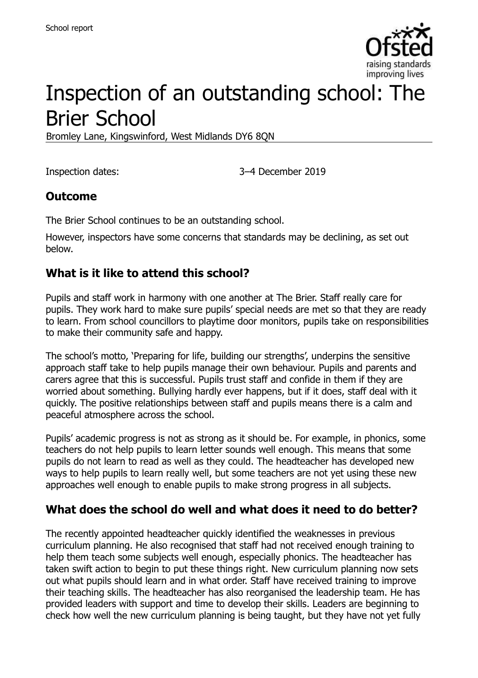

# Inspection of an outstanding school: The Brier School

Bromley Lane, Kingswinford, West Midlands DY6 8QN

Inspection dates: 3–4 December 2019

### **Outcome**

The Brier School continues to be an outstanding school.

However, inspectors have some concerns that standards may be declining, as set out below.

### **What is it like to attend this school?**

Pupils and staff work in harmony with one another at The Brier. Staff really care for pupils. They work hard to make sure pupils' special needs are met so that they are ready to learn. From school councillors to playtime door monitors, pupils take on responsibilities to make their community safe and happy.

The school's motto, 'Preparing for life, building our strengths', underpins the sensitive approach staff take to help pupils manage their own behaviour. Pupils and parents and carers agree that this is successful. Pupils trust staff and confide in them if they are worried about something. Bullying hardly ever happens, but if it does, staff deal with it quickly. The positive relationships between staff and pupils means there is a calm and peaceful atmosphere across the school.

Pupils' academic progress is not as strong as it should be. For example, in phonics, some teachers do not help pupils to learn letter sounds well enough. This means that some pupils do not learn to read as well as they could. The headteacher has developed new ways to help pupils to learn really well, but some teachers are not yet using these new approaches well enough to enable pupils to make strong progress in all subjects.

#### **What does the school do well and what does it need to do better?**

The recently appointed headteacher quickly identified the weaknesses in previous curriculum planning. He also recognised that staff had not received enough training to help them teach some subjects well enough, especially phonics. The headteacher has taken swift action to begin to put these things right. New curriculum planning now sets out what pupils should learn and in what order. Staff have received training to improve their teaching skills. The headteacher has also reorganised the leadership team. He has provided leaders with support and time to develop their skills. Leaders are beginning to check how well the new curriculum planning is being taught, but they have not yet fully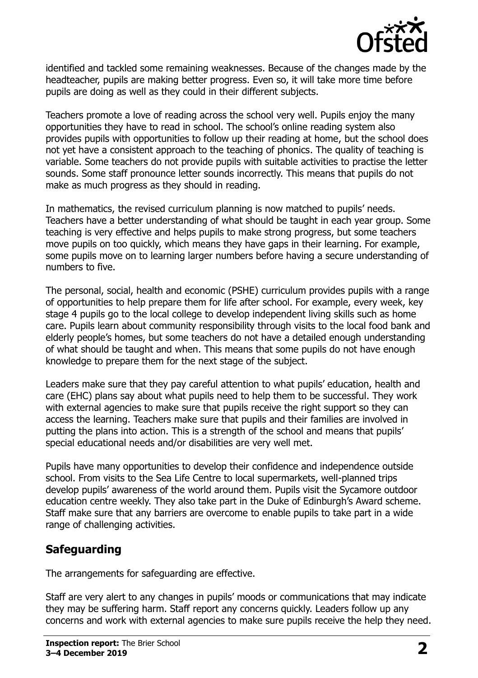

identified and tackled some remaining weaknesses. Because of the changes made by the headteacher, pupils are making better progress. Even so, it will take more time before pupils are doing as well as they could in their different subjects.

Teachers promote a love of reading across the school very well. Pupils enjoy the many opportunities they have to read in school. The school's online reading system also provides pupils with opportunities to follow up their reading at home, but the school does not yet have a consistent approach to the teaching of phonics. The quality of teaching is variable. Some teachers do not provide pupils with suitable activities to practise the letter sounds. Some staff pronounce letter sounds incorrectly. This means that pupils do not make as much progress as they should in reading.

In mathematics, the revised curriculum planning is now matched to pupils' needs. Teachers have a better understanding of what should be taught in each year group. Some teaching is very effective and helps pupils to make strong progress, but some teachers move pupils on too quickly, which means they have gaps in their learning. For example, some pupils move on to learning larger numbers before having a secure understanding of numbers to five.

The personal, social, health and economic (PSHE) curriculum provides pupils with a range of opportunities to help prepare them for life after school. For example, every week, key stage 4 pupils go to the local college to develop independent living skills such as home care. Pupils learn about community responsibility through visits to the local food bank and elderly people's homes, but some teachers do not have a detailed enough understanding of what should be taught and when. This means that some pupils do not have enough knowledge to prepare them for the next stage of the subject.

Leaders make sure that they pay careful attention to what pupils' education, health and care (EHC) plans say about what pupils need to help them to be successful. They work with external agencies to make sure that pupils receive the right support so they can access the learning. Teachers make sure that pupils and their families are involved in putting the plans into action. This is a strength of the school and means that pupils' special educational needs and/or disabilities are very well met.

Pupils have many opportunities to develop their confidence and independence outside school. From visits to the Sea Life Centre to local supermarkets, well-planned trips develop pupils' awareness of the world around them. Pupils visit the Sycamore outdoor education centre weekly. They also take part in the Duke of Edinburgh's Award scheme. Staff make sure that any barriers are overcome to enable pupils to take part in a wide range of challenging activities.

# **Safeguarding**

The arrangements for safeguarding are effective.

Staff are very alert to any changes in pupils' moods or communications that may indicate they may be suffering harm. Staff report any concerns quickly. Leaders follow up any concerns and work with external agencies to make sure pupils receive the help they need.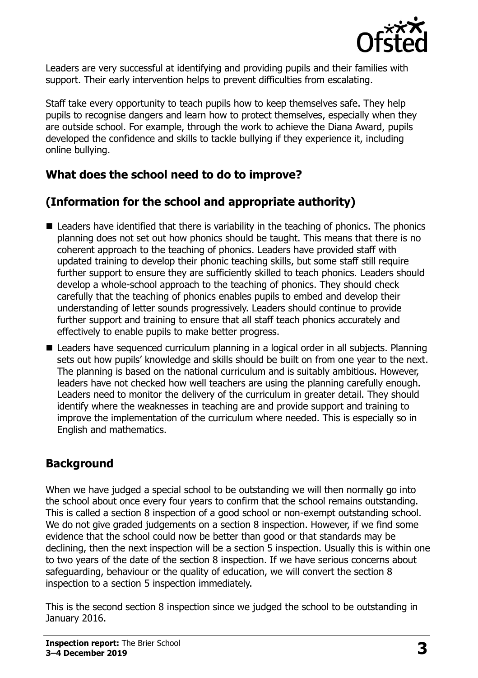

Leaders are very successful at identifying and providing pupils and their families with support. Their early intervention helps to prevent difficulties from escalating.

Staff take every opportunity to teach pupils how to keep themselves safe. They help pupils to recognise dangers and learn how to protect themselves, especially when they are outside school. For example, through the work to achieve the Diana Award, pupils developed the confidence and skills to tackle bullying if they experience it, including online bullying.

# **What does the school need to do to improve?**

# **(Information for the school and appropriate authority)**

- Leaders have identified that there is variability in the teaching of phonics. The phonics planning does not set out how phonics should be taught. This means that there is no coherent approach to the teaching of phonics. Leaders have provided staff with updated training to develop their phonic teaching skills, but some staff still require further support to ensure they are sufficiently skilled to teach phonics. Leaders should develop a whole-school approach to the teaching of phonics. They should check carefully that the teaching of phonics enables pupils to embed and develop their understanding of letter sounds progressively. Leaders should continue to provide further support and training to ensure that all staff teach phonics accurately and effectively to enable pupils to make better progress.
- Leaders have sequenced curriculum planning in a logical order in all subjects. Planning sets out how pupils' knowledge and skills should be built on from one year to the next. The planning is based on the national curriculum and is suitably ambitious. However, leaders have not checked how well teachers are using the planning carefully enough. Leaders need to monitor the delivery of the curriculum in greater detail. They should identify where the weaknesses in teaching are and provide support and training to improve the implementation of the curriculum where needed. This is especially so in English and mathematics.

# **Background**

When we have judged a special school to be outstanding we will then normally go into the school about once every four years to confirm that the school remains outstanding. This is called a section 8 inspection of a good school or non-exempt outstanding school. We do not give graded judgements on a section 8 inspection. However, if we find some evidence that the school could now be better than good or that standards may be declining, then the next inspection will be a section 5 inspection. Usually this is within one to two years of the date of the section 8 inspection. If we have serious concerns about safeguarding, behaviour or the quality of education, we will convert the section 8 inspection to a section 5 inspection immediately.

This is the second section 8 inspection since we judged the school to be outstanding in January 2016.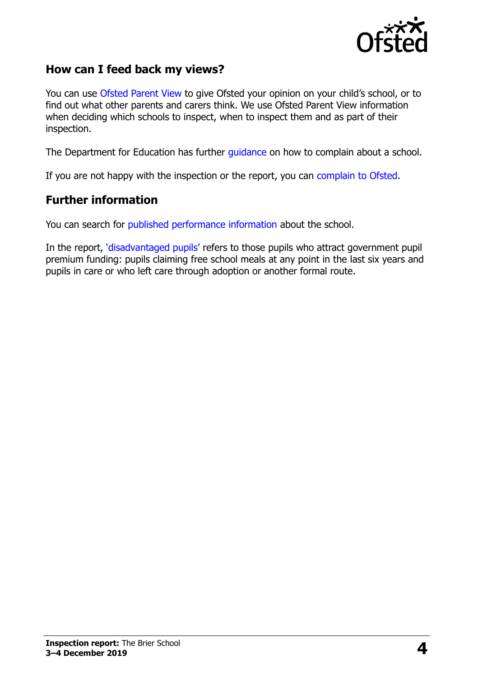

#### **How can I feed back my views?**

You can use [Ofsted Parent View](https://parentview.ofsted.gov.uk/) to give Ofsted your opinion on your child's school, or to find out what other parents and carers think. We use Ofsted Parent View information when deciding which schools to inspect, when to inspect them and as part of their inspection.

The Department for Education has further [guidance](http://www.gov.uk/complain-about-school) on how to complain about a school.

If you are not happy with the inspection or the report, you can [complain to Ofsted.](https://www.gov.uk/complain-ofsted-report)

#### **Further information**

You can search for [published performance information](http://www.compare-school-performance.service.gov.uk/) about the school.

In the report, '[disadvantaged pupils](http://www.gov.uk/guidance/pupil-premium-information-for-schools-and-alternative-provision-settings)' refers to those pupils who attract government pupil premium funding: pupils claiming free school meals at any point in the last six years and pupils in care or who left care through adoption or another formal route.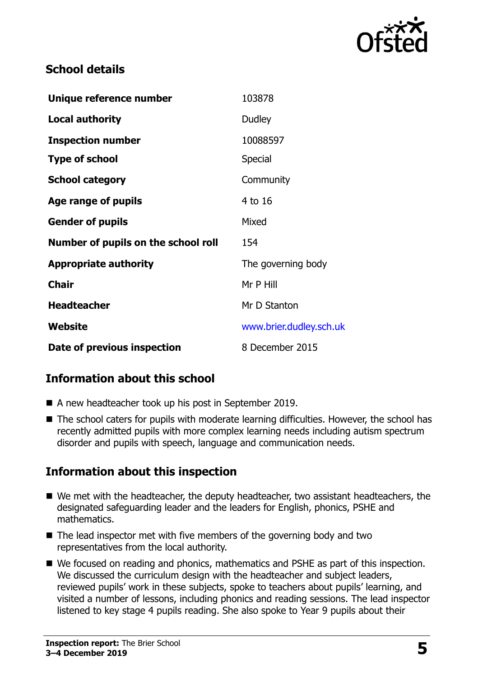

### **School details**

| Unique reference number             | 103878                  |
|-------------------------------------|-------------------------|
| <b>Local authority</b>              | Dudley                  |
| <b>Inspection number</b>            | 10088597                |
| <b>Type of school</b>               | Special                 |
| <b>School category</b>              | Community               |
| Age range of pupils                 | 4 to 16                 |
| <b>Gender of pupils</b>             | Mixed                   |
| Number of pupils on the school roll | 154                     |
| <b>Appropriate authority</b>        | The governing body      |
| <b>Chair</b>                        | Mr P Hill               |
| <b>Headteacher</b>                  | Mr D Stanton            |
| Website                             | www.brier.dudley.sch.uk |
| Date of previous inspection         | 8 December 2015         |

# **Information about this school**

- A new headteacher took up his post in September 2019.
- The school caters for pupils with moderate learning difficulties. However, the school has recently admitted pupils with more complex learning needs including autism spectrum disorder and pupils with speech, language and communication needs.

# **Information about this inspection**

- We met with the headteacher, the deputy headteacher, two assistant headteachers, the designated safeguarding leader and the leaders for English, phonics, PSHE and mathematics.
- $\blacksquare$  The lead inspector met with five members of the governing body and two representatives from the local authority.
- We focused on reading and phonics, mathematics and PSHE as part of this inspection. We discussed the curriculum design with the headteacher and subject leaders, reviewed pupils' work in these subjects, spoke to teachers about pupils' learning, and visited a number of lessons, including phonics and reading sessions. The lead inspector listened to key stage 4 pupils reading. She also spoke to Year 9 pupils about their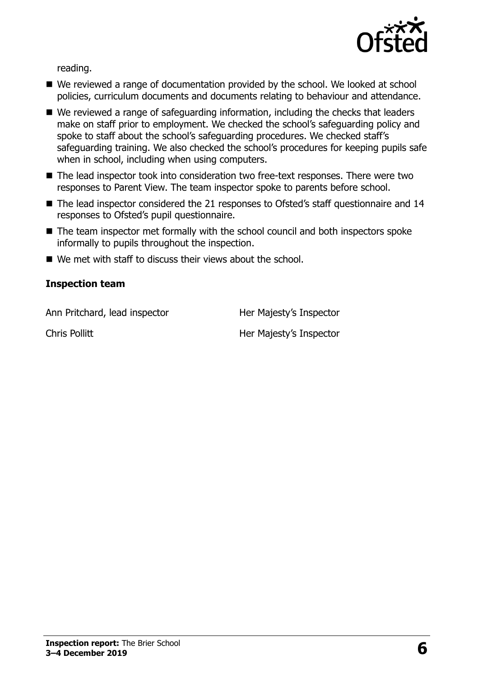

reading.

- We reviewed a range of documentation provided by the school. We looked at school policies, curriculum documents and documents relating to behaviour and attendance.
- We reviewed a range of safeguarding information, including the checks that leaders make on staff prior to employment. We checked the school's safeguarding policy and spoke to staff about the school's safeguarding procedures. We checked staff's safeguarding training. We also checked the school's procedures for keeping pupils safe when in school, including when using computers.
- The lead inspector took into consideration two free-text responses. There were two responses to Parent View. The team inspector spoke to parents before school.
- The lead inspector considered the 21 responses to Ofsted's staff questionnaire and 14 responses to Ofsted's pupil questionnaire.
- The team inspector met formally with the school council and both inspectors spoke informally to pupils throughout the inspection.
- We met with staff to discuss their views about the school.

#### **Inspection team**

Ann Pritchard, lead inspector Her Majesty's Inspector

Chris Pollitt **Her Majesty's Inspector**